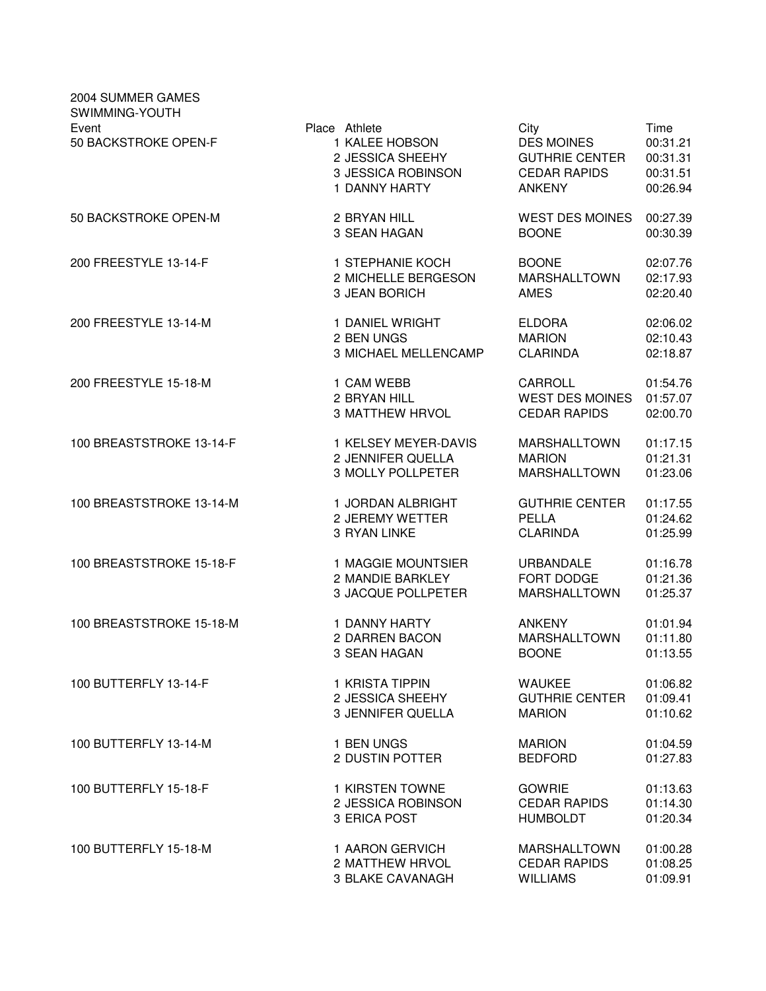| 2004 SUMMER GAMES<br>SWIMMING-YOUTH |                                                                                            |                                                                                            |                                                      |
|-------------------------------------|--------------------------------------------------------------------------------------------|--------------------------------------------------------------------------------------------|------------------------------------------------------|
| Event<br>50 BACKSTROKE OPEN-F       | Place Athlete<br>1 KALEE HOBSON<br>2 JESSICA SHEEHY<br>3 JESSICA ROBINSON<br>1 DANNY HARTY | City<br><b>DES MOINES</b><br><b>GUTHRIE CENTER</b><br><b>CEDAR RAPIDS</b><br><b>ANKENY</b> | Time<br>00:31.21<br>00:31.31<br>00:31.51<br>00:26.94 |
| 50 BACKSTROKE OPEN-M                | 2 BRYAN HILL                                                                               | <b>WEST DES MOINES</b>                                                                     | 00:27.39                                             |
|                                     | 3 SEAN HAGAN                                                                               | <b>BOONE</b>                                                                               | 00:30.39                                             |
| 200 FREESTYLE 13-14-F               | 1 STEPHANIE KOCH                                                                           | <b>BOONE</b>                                                                               | 02:07.76                                             |
|                                     | 2 MICHELLE BERGESON                                                                        | MARSHALLTOWN                                                                               | 02:17.93                                             |
|                                     | 3 JEAN BORICH                                                                              | <b>AMES</b>                                                                                | 02:20.40                                             |
| 200 FREESTYLE 13-14-M               | 1 DANIEL WRIGHT                                                                            | <b>ELDORA</b>                                                                              | 02:06.02                                             |
|                                     | 2 BEN UNGS                                                                                 | <b>MARION</b>                                                                              | 02:10.43                                             |
|                                     | <b>3 MICHAEL MELLENCAMP</b>                                                                | <b>CLARINDA</b>                                                                            | 02:18.87                                             |
| 200 FREESTYLE 15-18-M               | 1 CAM WEBB                                                                                 | CARROLL                                                                                    | 01:54.76                                             |
|                                     | 2 BRYAN HILL                                                                               | <b>WEST DES MOINES</b>                                                                     | 01:57.07                                             |
|                                     | <b>3 MATTHEW HRVOL</b>                                                                     | <b>CEDAR RAPIDS</b>                                                                        | 02:00.70                                             |
| 100 BREASTSTROKE 13-14-F            | 1 KELSEY MEYER-DAVIS                                                                       | <b>MARSHALLTOWN</b>                                                                        | 01:17.15                                             |
|                                     | 2 JENNIFER QUELLA                                                                          | <b>MARION</b>                                                                              | 01:21.31                                             |
|                                     | <b>3 MOLLY POLLPETER</b>                                                                   | <b>MARSHALLTOWN</b>                                                                        | 01:23.06                                             |
| 100 BREASTSTROKE 13-14-M            | 1 JORDAN ALBRIGHT                                                                          | <b>GUTHRIE CENTER</b>                                                                      | 01:17.55                                             |
|                                     | 2 JEREMY WETTER                                                                            | <b>PELLA</b>                                                                               | 01:24.62                                             |
|                                     | 3 RYAN LINKE                                                                               | <b>CLARINDA</b>                                                                            | 01:25.99                                             |
| 100 BREASTSTROKE 15-18-F            | 1 MAGGIE MOUNTSIER                                                                         | <b>URBANDALE</b>                                                                           | 01:16.78                                             |
|                                     | 2 MANDIE BARKLEY                                                                           | FORT DODGE                                                                                 | 01:21.36                                             |
|                                     | 3 JACQUE POLLPETER                                                                         | MARSHALLTOWN                                                                               | 01:25.37                                             |
| 100 BREASTSTROKE 15-18-M            | 1 DANNY HARTY                                                                              | <b>ANKENY</b>                                                                              | 01:01.94                                             |
|                                     | 2 DARREN BACON                                                                             | MARSHALLTOWN                                                                               | 01:11.80                                             |
|                                     | 3 SEAN HAGAN                                                                               | <b>BOONE</b>                                                                               | 01:13.55                                             |
| 100 BUTTERFLY 13-14-F               | 1 KRISTA TIPPIN                                                                            | <b>WAUKEE</b>                                                                              | 01:06.82                                             |
|                                     | 2 JESSICA SHEEHY                                                                           | <b>GUTHRIE CENTER</b>                                                                      | 01:09.41                                             |
|                                     | 3 JENNIFER QUELLA                                                                          | <b>MARION</b>                                                                              | 01:10.62                                             |
| 100 BUTTERFLY 13-14-M               | 1 BEN UNGS                                                                                 | <b>MARION</b>                                                                              | 01:04.59                                             |
|                                     | 2 DUSTIN POTTER                                                                            | <b>BEDFORD</b>                                                                             | 01:27.83                                             |
| 100 BUTTERFLY 15-18-F               | 1 KIRSTEN TOWNE                                                                            | <b>GOWRIE</b>                                                                              | 01:13.63                                             |
|                                     | 2 JESSICA ROBINSON                                                                         | <b>CEDAR RAPIDS</b>                                                                        | 01:14.30                                             |
|                                     | 3 ERICA POST                                                                               | <b>HUMBOLDT</b>                                                                            | 01:20.34                                             |
| 100 BUTTERFLY 15-18-M               | 1 AARON GERVICH                                                                            | <b>MARSHALLTOWN</b>                                                                        | 01:00.28                                             |
|                                     | 2 MATTHEW HRVOL                                                                            | <b>CEDAR RAPIDS</b>                                                                        | 01:08.25                                             |
|                                     | 3 BLAKE CAVANAGH                                                                           | <b>WILLIAMS</b>                                                                            | 01:09.91                                             |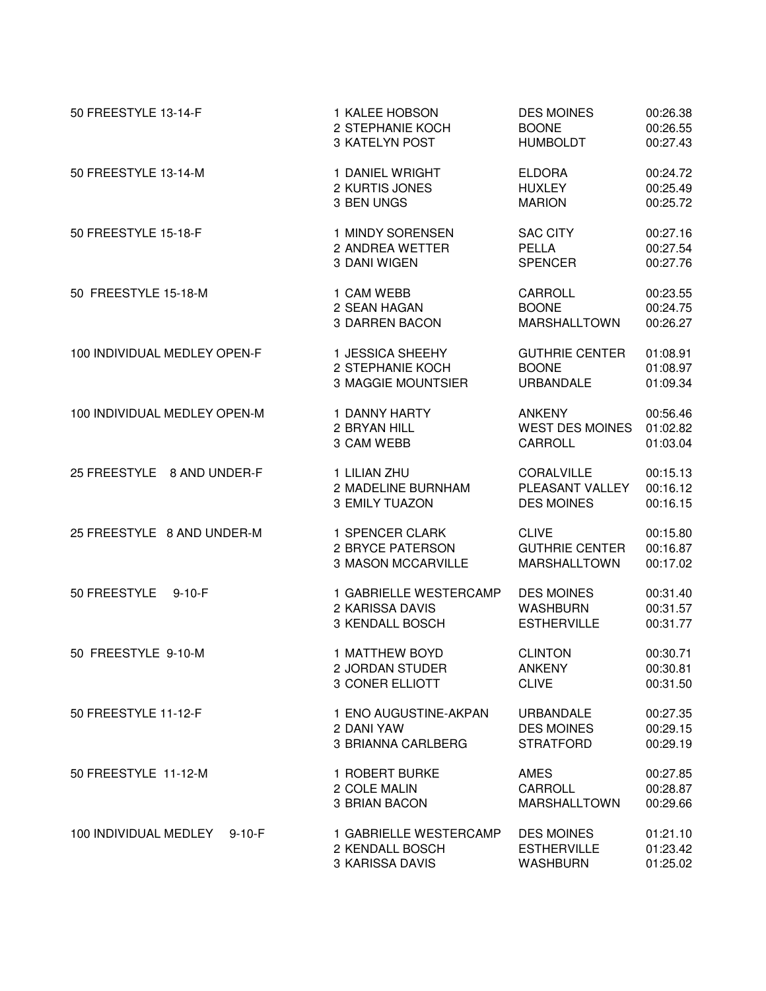| 50 FREESTYLE 13-14-F                  | 1 KALEE HOBSON                                               | <b>DES MOINES</b>                                          | 00:26.38                         |
|---------------------------------------|--------------------------------------------------------------|------------------------------------------------------------|----------------------------------|
|                                       | 2 STEPHANIE KOCH                                             | <b>BOONE</b>                                               | 00:26.55                         |
|                                       | 3 KATELYN POST                                               | <b>HUMBOLDT</b>                                            | 00:27.43                         |
| 50 FREESTYLE 13-14-M                  | 1 DANIEL WRIGHT                                              | <b>ELDORA</b>                                              | 00:24.72                         |
|                                       | 2 KURTIS JONES                                               | <b>HUXLEY</b>                                              | 00:25.49                         |
|                                       | 3 BEN UNGS                                                   | <b>MARION</b>                                              | 00:25.72                         |
| 50 FREESTYLE 15-18-F                  | 1 MINDY SORENSEN                                             | <b>SAC CITY</b>                                            | 00:27.16                         |
|                                       | 2 ANDREA WETTER                                              | <b>PELLA</b>                                               | 00:27.54                         |
|                                       | 3 DANI WIGEN                                                 | <b>SPENCER</b>                                             | 00:27.76                         |
| 50 FREESTYLE 15-18-M                  | 1 CAM WEBB                                                   | CARROLL                                                    | 00:23.55                         |
|                                       | 2 SEAN HAGAN                                                 | <b>BOONE</b>                                               | 00:24.75                         |
|                                       | <b>3 DARREN BACON</b>                                        | MARSHALLTOWN                                               | 00:26.27                         |
| 100 INDIVIDUAL MEDLEY OPEN-F          | 1 JESSICA SHEEHY                                             | <b>GUTHRIE CENTER</b>                                      | 01:08.91                         |
|                                       | 2 STEPHANIE KOCH                                             | <b>BOONE</b>                                               | 01:08.97                         |
|                                       | 3 MAGGIE MOUNTSIER                                           | <b>URBANDALE</b>                                           | 01:09.34                         |
| 100 INDIVIDUAL MEDLEY OPEN-M          | 1 DANNY HARTY                                                | <b>ANKENY</b>                                              | 00:56.46                         |
|                                       | 2 BRYAN HILL                                                 | <b>WEST DES MOINES</b>                                     | 01:02.82                         |
|                                       | 3 CAM WEBB                                                   | CARROLL                                                    | 01:03.04                         |
| 25 FREESTYLE 8 AND UNDER-F            | 1 LILIAN ZHU                                                 | CORALVILLE                                                 | 00:15.13                         |
|                                       | 2 MADELINE BURNHAM                                           | PLEASANT VALLEY                                            | 00:16.12                         |
|                                       | 3 EMILY TUAZON                                               | <b>DES MOINES</b>                                          | 00:16.15                         |
| 25 FREESTYLE 8 AND UNDER-M            | 1 SPENCER CLARK                                              | <b>CLIVE</b>                                               | 00:15.80                         |
|                                       | 2 BRYCE PATERSON                                             | <b>GUTHRIE CENTER</b>                                      | 00:16.87                         |
|                                       | 3 MASON MCCARVILLE                                           | MARSHALLTOWN                                               | 00:17.02                         |
| 50 FREESTYLE<br>$9 - 10 - F$          | 1 GABRIELLE WESTERCAMP<br>2 KARISSA DAVIS<br>3 KENDALL BOSCH | <b>DES MOINES</b><br><b>WASHBURN</b><br><b>ESTHERVILLE</b> | 00:31.40<br>00:31.57<br>00:31.77 |
| 50 FREESTYLE 9-10-M                   | 1 MATTHEW BOYD                                               | <b>CLINTON</b>                                             | 00:30.71                         |
|                                       | 2 JORDAN STUDER                                              | <b>ANKENY</b>                                              | 00:30.81                         |
|                                       | 3 CONER ELLIOTT                                              | <b>CLIVE</b>                                               | 00:31.50                         |
| 50 FREESTYLE 11-12-F                  | 1 ENO AUGUSTINE-AKPAN                                        | <b>URBANDALE</b>                                           | 00:27.35                         |
|                                       | 2 DANI YAW                                                   | <b>DES MOINES</b>                                          | 00:29.15                         |
|                                       | <b>3 BRIANNA CARLBERG</b>                                    | <b>STRATFORD</b>                                           | 00:29.19                         |
| 50 FREESTYLE 11-12-M                  | 1 ROBERT BURKE                                               | AMES                                                       | 00:27.85                         |
|                                       | 2 COLE MALIN                                                 | CARROLL                                                    | 00:28.87                         |
|                                       | 3 BRIAN BACON                                                | <b>MARSHALLTOWN</b>                                        | 00:29.66                         |
| 100 INDIVIDUAL MEDLEY<br>$9 - 10 - F$ | 1 GABRIELLE WESTERCAMP<br>2 KENDALL BOSCH<br>3 KARISSA DAVIS | <b>DES MOINES</b><br><b>ESTHERVILLE</b><br><b>WASHBURN</b> | 01:21.10<br>01:23.42<br>01:25.02 |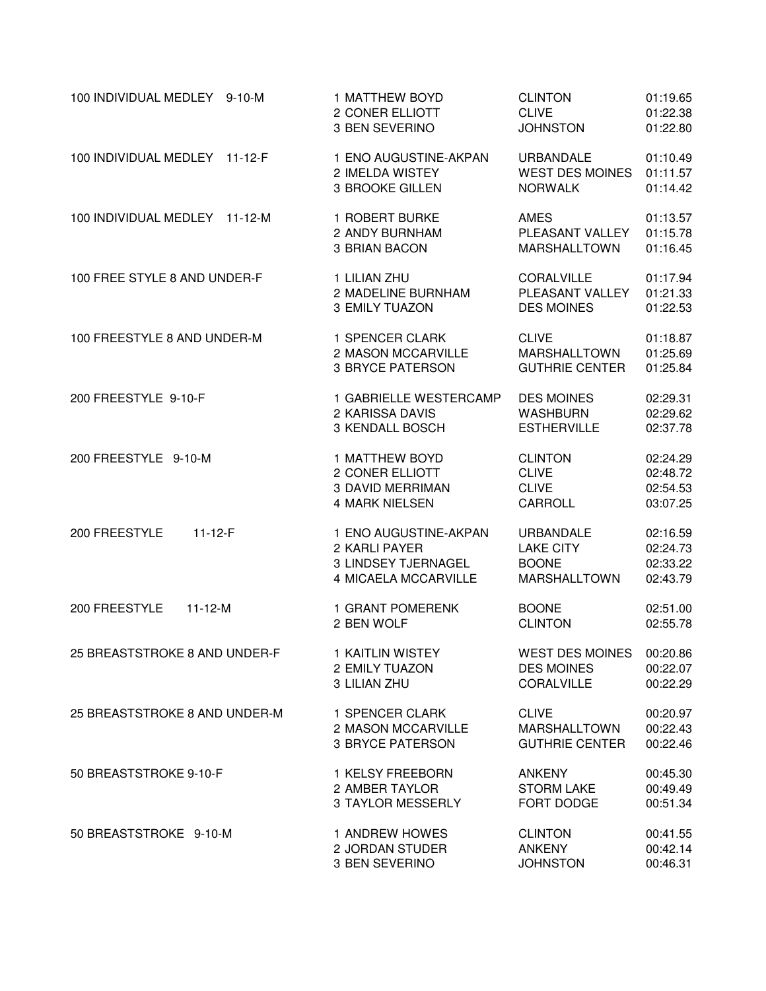| 100 INDIVIDUAL MEDLEY 9-10-M  | 1 MATTHEW BOYD                                                                        | <b>CLINTON</b>                                                       | 01:19.65                                     |
|-------------------------------|---------------------------------------------------------------------------------------|----------------------------------------------------------------------|----------------------------------------------|
|                               | 2 CONER ELLIOTT                                                                       | <b>CLIVE</b>                                                         | 01:22.38                                     |
|                               | 3 BEN SEVERINO                                                                        | <b>JOHNSTON</b>                                                      | 01:22.80                                     |
| 100 INDIVIDUAL MEDLEY 11-12-F | 1 ENO AUGUSTINE-AKPAN                                                                 | <b>URBANDALE</b>                                                     | 01:10.49                                     |
|                               | 2 IMELDA WISTEY                                                                       | WEST DES MOINES                                                      | 01:11.57                                     |
|                               | 3 BROOKE GILLEN                                                                       | <b>NORWALK</b>                                                       | 01:14.42                                     |
| 100 INDIVIDUAL MEDLEY 11-12-M | 1 ROBERT BURKE                                                                        | AMES                                                                 | 01:13.57                                     |
|                               | 2 ANDY BURNHAM                                                                        | PLEASANT VALLEY                                                      | 01:15.78                                     |
|                               | 3 BRIAN BACON                                                                         | MARSHALLTOWN                                                         | 01:16.45                                     |
| 100 FREE STYLE 8 AND UNDER-F  | 1 LILIAN ZHU                                                                          | CORALVILLE                                                           | 01:17.94                                     |
|                               | 2 MADELINE BURNHAM                                                                    | PLEASANT VALLEY                                                      | 01:21.33                                     |
|                               | 3 EMILY TUAZON                                                                        | <b>DES MOINES</b>                                                    | 01:22.53                                     |
| 100 FREESTYLE 8 AND UNDER-M   | 1 SPENCER CLARK                                                                       | <b>CLIVE</b>                                                         | 01:18.87                                     |
|                               | 2 MASON MCCARVILLE                                                                    | MARSHALLTOWN                                                         | 01:25.69                                     |
|                               | <b>3 BRYCE PATERSON</b>                                                               | <b>GUTHRIE CENTER</b>                                                | 01:25.84                                     |
| 200 FREESTYLE 9-10-F          | 1 GABRIELLE WESTERCAMP                                                                | <b>DES MOINES</b>                                                    | 02:29.31                                     |
|                               | 2 KARISSA DAVIS                                                                       | WASHBURN                                                             | 02:29.62                                     |
|                               | 3 KENDALL BOSCH                                                                       | <b>ESTHERVILLE</b>                                                   | 02:37.78                                     |
| 200 FREESTYLE 9-10-M          | 1 MATTHEW BOYD                                                                        | <b>CLINTON</b>                                                       | 02:24.29                                     |
|                               | 2 CONER ELLIOTT                                                                       | <b>CLIVE</b>                                                         | 02:48.72                                     |
|                               | <b>3 DAVID MERRIMAN</b>                                                               | <b>CLIVE</b>                                                         | 02:54.53                                     |
|                               | <b>4 MARK NIELSEN</b>                                                                 | CARROLL                                                              | 03:07.25                                     |
| 200 FREESTYLE<br>$11-12-F$    | 1 ENO AUGUSTINE-AKPAN<br>2 KARLI PAYER<br>3 LINDSEY TJERNAGEL<br>4 MICAELA MCCARVILLE | URBANDALE<br><b>LAKE CITY</b><br><b>BOONE</b><br><b>MARSHALLTOWN</b> | 02:16.59<br>02:24.73<br>02:33.22<br>02:43.79 |
| 200 FREESTYLE                 | 1 GRANT POMERENK                                                                      | <b>BOONE</b>                                                         | 02:51.00                                     |
| $11 - 12 - M$                 | 2 BEN WOLF                                                                            | <b>CLINTON</b>                                                       | 02:55.78                                     |
| 25 BREASTSTROKE 8 AND UNDER-F | 1 KAITLIN WISTEY                                                                      | <b>WEST DES MOINES</b>                                               | 00:20.86                                     |
|                               | 2 EMILY TUAZON                                                                        | <b>DES MOINES</b>                                                    | 00:22.07                                     |
|                               | 3 LILIAN ZHU                                                                          | <b>CORALVILLE</b>                                                    | 00:22.29                                     |
| 25 BREASTSTROKE 8 AND UNDER-M | 1 SPENCER CLARK                                                                       | <b>CLIVE</b>                                                         | 00:20.97                                     |
|                               | 2 MASON MCCARVILLE                                                                    | <b>MARSHALLTOWN</b>                                                  | 00:22.43                                     |
|                               | <b>3 BRYCE PATERSON</b>                                                               | <b>GUTHRIE CENTER</b>                                                | 00:22.46                                     |
| 50 BREASTSTROKE 9-10-F        | 1 KELSY FREEBORN                                                                      | ANKENY                                                               | 00:45.30                                     |
|                               | 2 AMBER TAYLOR                                                                        | <b>STORM LAKE</b>                                                    | 00:49.49                                     |
|                               | 3 TAYLOR MESSERLY                                                                     | FORT DODGE                                                           | 00:51.34                                     |
| 50 BREASTSTROKE 9-10-M        | 1 ANDREW HOWES                                                                        | <b>CLINTON</b>                                                       | 00:41.55                                     |
|                               | 2 JORDAN STUDER                                                                       | <b>ANKENY</b>                                                        | 00:42.14                                     |
|                               | 3 BEN SEVERINO                                                                        | <b>JOHNSTON</b>                                                      | 00:46.31                                     |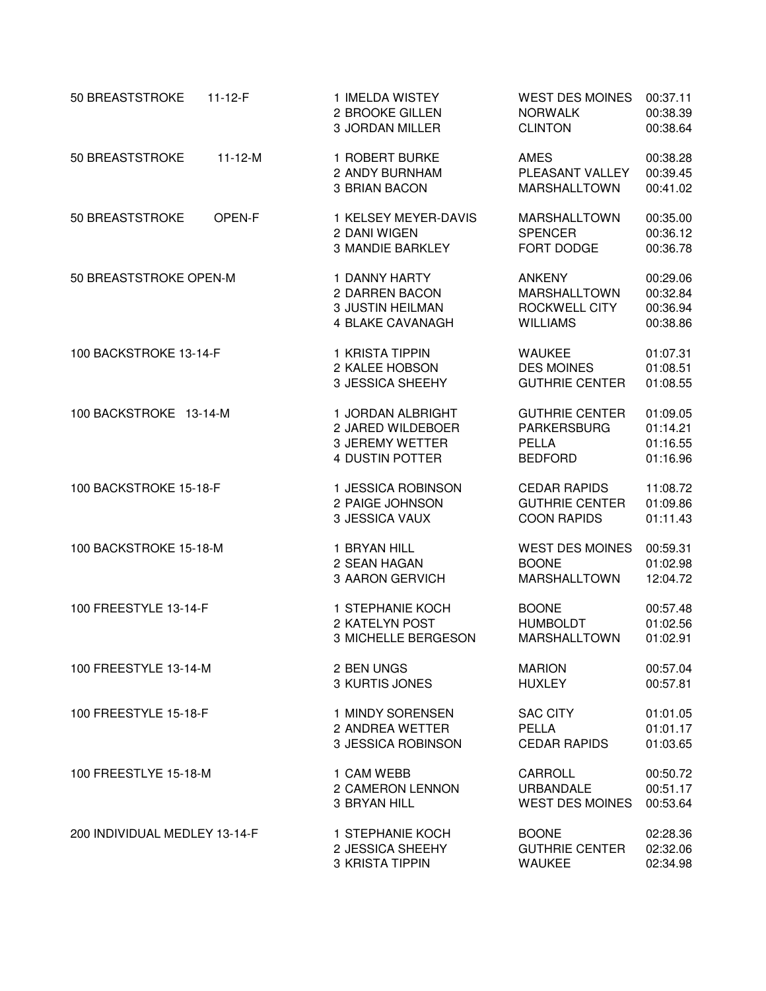| 50 BREASTSTROKE<br>$11 - 12 - F$ | 1 IMELDA WISTEY<br>2 BROOKE GILLEN<br><b>3 JORDAN MILLER</b>    | <b>WEST DES MOINES</b><br><b>NORWALK</b><br><b>CLINTON</b> | 00:37.11<br>00:38.39<br>00:38.64 |
|----------------------------------|-----------------------------------------------------------------|------------------------------------------------------------|----------------------------------|
| 50 BREASTSTROKE<br>$11 - 12 - M$ | 1 ROBERT BURKE<br>2 ANDY BURNHAM<br>3 BRIAN BACON               | <b>AMES</b><br>PLEASANT VALLEY<br>MARSHALLTOWN             | 00:38.28<br>00:39.45<br>00:41.02 |
| 50 BREASTSTROKE<br>OPEN-F        | 1 KELSEY MEYER-DAVIS<br>2 DANI WIGEN<br><b>3 MANDIE BARKLEY</b> | <b>MARSHALLTOWN</b><br><b>SPENCER</b><br>FORT DODGE        | 00:35.00<br>00:36.12<br>00:36.78 |
| 50 BREASTSTROKE OPEN-M           | 1 DANNY HARTY                                                   | <b>ANKENY</b>                                              | 00:29.06                         |
|                                  | 2 DARREN BACON                                                  | MARSHALLTOWN                                               | 00:32.84                         |
|                                  | <b>3 JUSTIN HEILMAN</b>                                         | <b>ROCKWELL CITY</b>                                       | 00:36.94                         |
|                                  | 4 BLAKE CAVANAGH                                                | <b>WILLIAMS</b>                                            | 00:38.86                         |
| 100 BACKSTROKE 13-14-F           | 1 KRISTA TIPPIN                                                 | <b>WAUKEE</b>                                              | 01:07.31                         |
|                                  | 2 KALEE HOBSON                                                  | <b>DES MOINES</b>                                          | 01:08.51                         |
|                                  | 3 JESSICA SHEEHY                                                | <b>GUTHRIE CENTER</b>                                      | 01:08.55                         |
| 100 BACKSTROKE 13-14-M           | 1 JORDAN ALBRIGHT                                               | <b>GUTHRIE CENTER</b>                                      | 01:09.05                         |
|                                  | 2 JARED WILDEBOER                                               | <b>PARKERSBURG</b>                                         | 01:14.21                         |
|                                  | <b>3 JEREMY WETTER</b>                                          | <b>PELLA</b>                                               | 01:16.55                         |
|                                  | 4 DUSTIN POTTER                                                 | <b>BEDFORD</b>                                             | 01:16.96                         |
| 100 BACKSTROKE 15-18-F           | 1 JESSICA ROBINSON                                              | <b>CEDAR RAPIDS</b>                                        | 11:08.72                         |
|                                  | 2 PAIGE JOHNSON                                                 | <b>GUTHRIE CENTER</b>                                      | 01:09.86                         |
|                                  | 3 JESSICA VAUX                                                  | <b>COON RAPIDS</b>                                         | 01:11.43                         |
| 100 BACKSTROKE 15-18-M           | 1 BRYAN HILL                                                    | <b>WEST DES MOINES</b>                                     | 00:59.31                         |
|                                  | 2 SEAN HAGAN                                                    | <b>BOONE</b>                                               | 01:02.98                         |
|                                  | 3 AARON GERVICH                                                 | <b>MARSHALLTOWN</b>                                        | 12:04.72                         |
| 100 FREESTYLE 13-14-F            | 1 STEPHANIE KOCH                                                | <b>BOONE</b>                                               | 00:57.48                         |
|                                  | 2 KATELYN POST                                                  | <b>HUMBOLDT</b>                                            | 01:02.56                         |
|                                  | 3 MICHELLE BERGESON                                             | MARSHALLTOWN                                               | 01:02.91                         |
| 100 FREESTYLE 13-14-M            | 2 BEN UNGS                                                      | <b>MARION</b>                                              | 00:57.04                         |
|                                  | 3 KURTIS JONES                                                  | <b>HUXLEY</b>                                              | 00:57.81                         |
| 100 FREESTYLE 15-18-F            | 1 MINDY SORENSEN                                                | <b>SAC CITY</b>                                            | 01:01.05                         |
|                                  | 2 ANDREA WETTER                                                 | PELLA                                                      | 01:01.17                         |
|                                  | 3 JESSICA ROBINSON                                              | <b>CEDAR RAPIDS</b>                                        | 01:03.65                         |
| 100 FREESTLYE 15-18-M            | 1 CAM WEBB                                                      | CARROLL                                                    | 00:50.72                         |
|                                  | 2 CAMERON LENNON                                                | <b>URBANDALE</b>                                           | 00:51.17                         |
|                                  | 3 BRYAN HILL                                                    | <b>WEST DES MOINES</b>                                     | 00:53.64                         |
| 200 INDIVIDUAL MEDLEY 13-14-F    | 1 STEPHANIE KOCH                                                | <b>BOONE</b>                                               | 02:28.36                         |
|                                  | 2 JESSICA SHEEHY                                                | <b>GUTHRIE CENTER</b>                                      | 02:32.06                         |
|                                  | <b>3 KRISTA TIPPIN</b>                                          | <b>WAUKEE</b>                                              | 02:34.98                         |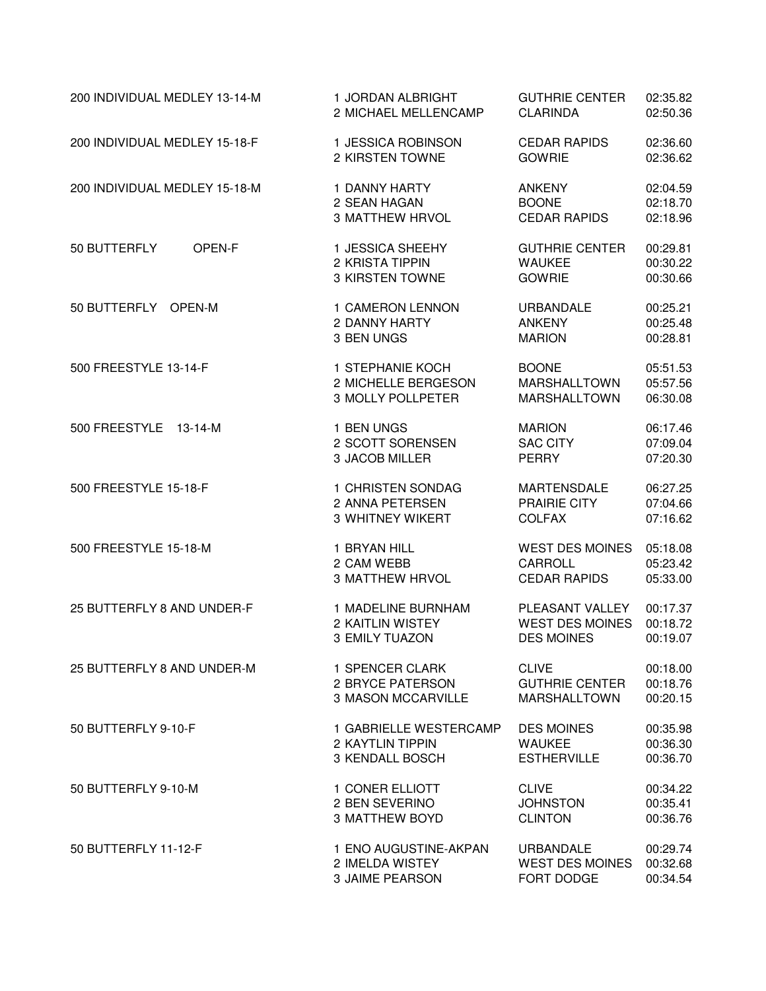| 200 INDIVIDUAL MEDLEY 13-14-M | 1 JORDAN ALBRIGHT                                      | <b>GUTHRIE CENTER</b>                                   | 02:35.82                         |
|-------------------------------|--------------------------------------------------------|---------------------------------------------------------|----------------------------------|
|                               | 2 MICHAEL MELLENCAMP                                   | <b>CLARINDA</b>                                         | 02:50.36                         |
| 200 INDIVIDUAL MEDLEY 15-18-F | 1 JESSICA ROBINSON                                     | <b>CEDAR RAPIDS</b>                                     | 02:36.60                         |
|                               | 2 KIRSTEN TOWNE                                        | <b>GOWRIE</b>                                           | 02:36.62                         |
| 200 INDIVIDUAL MEDLEY 15-18-M | 1 DANNY HARTY                                          | <b>ANKENY</b>                                           | 02:04.59                         |
|                               | 2 SEAN HAGAN                                           | <b>BOONE</b>                                            | 02:18.70                         |
|                               | <b>3 MATTHEW HRVOL</b>                                 | <b>CEDAR RAPIDS</b>                                     | 02:18.96                         |
| 50 BUTTERFLY<br>OPEN-F        | 1 JESSICA SHEEHY<br>2 KRISTA TIPPIN<br>3 KIRSTEN TOWNE | <b>GUTHRIE CENTER</b><br><b>WAUKEE</b><br><b>GOWRIE</b> | 00:29.81<br>00:30.22<br>00:30.66 |
| 50 BUTTERFLY OPEN-M           | 1 CAMERON LENNON                                       | <b>URBANDALE</b>                                        | 00:25.21                         |
|                               | 2 DANNY HARTY                                          | <b>ANKENY</b>                                           | 00:25.48                         |
|                               | 3 BEN UNGS                                             | <b>MARION</b>                                           | 00:28.81                         |
| 500 FREESTYLE 13-14-F         | 1 STEPHANIE KOCH                                       | <b>BOONE</b>                                            | 05:51.53                         |
|                               | 2 MICHELLE BERGESON                                    | <b>MARSHALLTOWN</b>                                     | 05:57.56                         |
|                               | 3 MOLLY POLLPETER                                      | MARSHALLTOWN                                            | 06:30.08                         |
| 500 FREESTYLE 13-14-M         | 1 BEN UNGS                                             | <b>MARION</b>                                           | 06:17.46                         |
|                               | 2 SCOTT SORENSEN                                       | <b>SAC CITY</b>                                         | 07:09.04                         |
|                               | 3 JACOB MILLER                                         | <b>PERRY</b>                                            | 07:20.30                         |
| 500 FREESTYLE 15-18-F         | 1 CHRISTEN SONDAG                                      | <b>MARTENSDALE</b>                                      | 06:27.25                         |
|                               | 2 ANNA PETERSEN                                        | PRAIRIE CITY                                            | 07:04.66                         |
|                               | 3 WHITNEY WIKERT                                       | <b>COLFAX</b>                                           | 07:16.62                         |
| 500 FREESTYLE 15-18-M         | 1 BRYAN HILL                                           | <b>WEST DES MOINES</b>                                  | 05:18.08                         |
|                               | 2 CAM WEBB                                             | CARROLL                                                 | 05:23.42                         |
|                               | <b>3 MATTHEW HRVOL</b>                                 | <b>CEDAR RAPIDS</b>                                     | 05:33.00                         |
| 25 BUTTERFLY 8 AND UNDER-F    | 1 MADELINE BURNHAM                                     | PLEASANT VALLEY                                         | 00:17.37                         |
|                               | 2 KAITLIN WISTEY                                       | <b>WEST DES MOINES</b>                                  | 00:18.72                         |
|                               | 3 EMILY TUAZON                                         | <b>DES MOINES</b>                                       | 00:19.07                         |
| 25 BUTTERFLY 8 AND UNDER-M    | 1 SPENCER CLARK                                        | <b>CLIVE</b>                                            | 00:18.00                         |
|                               | 2 BRYCE PATERSON                                       | <b>GUTHRIE CENTER</b>                                   | 00:18.76                         |
|                               | <b>3 MASON MCCARVILLE</b>                              | <b>MARSHALLTOWN</b>                                     | 00:20.15                         |
| 50 BUTTERFLY 9-10-F           | 1 GABRIELLE WESTERCAMP                                 | <b>DES MOINES</b>                                       | 00:35.98                         |
|                               | 2 KAYTLIN TIPPIN                                       | <b>WAUKEE</b>                                           | 00:36.30                         |
|                               | <b>3 KENDALL BOSCH</b>                                 | <b>ESTHERVILLE</b>                                      | 00:36.70                         |
| 50 BUTTERFLY 9-10-M           | 1 CONER ELLIOTT                                        | <b>CLIVE</b>                                            | 00:34.22                         |
|                               | 2 BEN SEVERINO                                         | <b>JOHNSTON</b>                                         | 00:35.41                         |
|                               | <b>3 MATTHEW BOYD</b>                                  | <b>CLINTON</b>                                          | 00:36.76                         |
| 50 BUTTERFLY 11-12-F          | 1 ENO AUGUSTINE-AKPAN                                  | <b>URBANDALE</b>                                        | 00:29.74                         |
|                               | 2 IMELDA WISTEY                                        | <b>WEST DES MOINES</b>                                  | 00:32.68                         |
|                               | 3 JAIME PEARSON                                        | FORT DODGE                                              | 00:34.54                         |